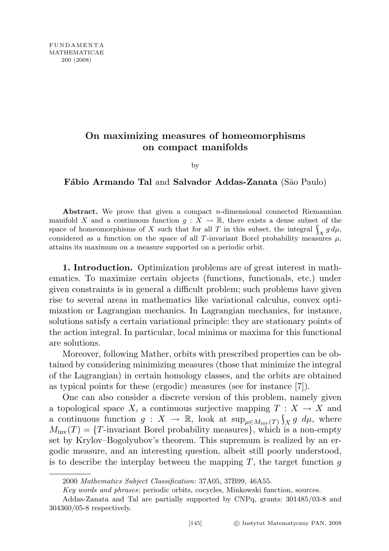## On maximizing measures of homeomorphisms on compact manifolds

by

## Fábio Armando Tal and Salvador Addas-Zanata (São Paulo)

Abstract. We prove that given a compact *n*-dimensional connected Riemannian manifold X and a continuous function  $g: X \to \mathbb{R}$ , there exists a dense subset of the space of homeomorphisms of X such that for all T in this subset, the integral  $\int_{\mathcal{V}} g d\mu$ , considered as a function on the space of all T-invariant Borel probability measures  $\mu$ , attains its maximum on a measure supported on a periodic orbit.

1. Introduction. Optimization problems are of great interest in mathematics. To maximize certain objects (functions, functionals, etc.) under given constraints is in general a difficult problem; such problems have given rise to several areas in mathematics like variational calculus, convex optimization or Lagrangian mechanics. In Lagrangian mechanics, for instance, solutions satisfy a certain variational principle: they are stationary points of the action integral. In particular, local minima or maxima for this functional are solutions.

Moreover, following Mather, orbits with prescribed properties can be obtained by considering minimizing measures (those that minimize the integral of the Lagrangian) in certain homology classes, and the orbits are obtained as typical points for these (ergodic) measures (see for instance [7]).

One can also consider a discrete version of this problem, namely given a topological space X, a continuous surjective mapping  $T : X \to X$  and a continuous function  $g: X \to \mathbb{R}$ , look at  $\sup_{\mu \in M_{\text{inv}}(T)} \int_X g \, d\mu$ , where  $M_{\text{inv}}(T) = \{T\text{-invariant Borel probability measures}\},\$  which is a non-empty set by Krylov–Bogolyubov's theorem. This supremum is realized by an ergodic measure, and an interesting question, albeit still poorly understood, is to describe the interplay between the mapping  $T$ , the target function  $q$ 

<sup>2000</sup> Mathematics Subject Classification: 37A05, 37B99, 46A55.

Key words and phrases: periodic orbits, cocycles, Minkowski function, sources.

Addas-Zanata and Tal are partially supported by CNPq, grants: 301485/03-8 and 304360/05-8 respectively.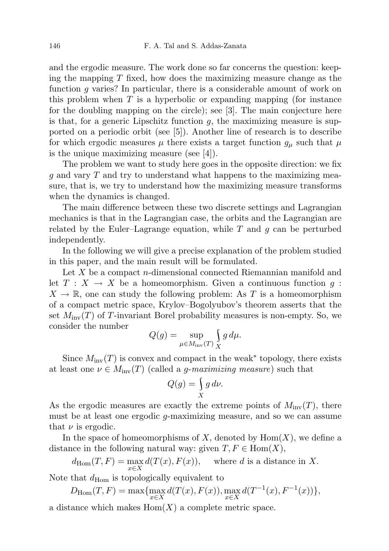and the ergodic measure. The work done so far concerns the question: keeping the mapping  $T$  fixed, how does the maximizing measure change as the function g varies? In particular, there is a considerable amount of work on this problem when  $T$  is a hyperbolic or expanding mapping (for instance for the doubling mapping on the circle); see [3]. The main conjecture here is that, for a generic Lipschitz function  $q$ , the maximizing measure is supported on a periodic orbit (see [5]). Another line of research is to describe for which ergodic measures  $\mu$  there exists a target function  $g_{\mu}$  such that  $\mu$ is the unique maximizing measure (see [4]).

The problem we want to study here goes in the opposite direction: we fix  $q$  and vary  $T$  and try to understand what happens to the maximizing measure, that is, we try to understand how the maximizing measure transforms when the dynamics is changed.

The main difference between these two discrete settings and Lagrangian mechanics is that in the Lagrangian case, the orbits and the Lagrangian are related by the Euler–Lagrange equation, while  $T$  and  $g$  can be perturbed independently.

In the following we will give a precise explanation of the problem studied in this paper, and the main result will be formulated.

Let  $X$  be a compact n-dimensional connected Riemannian manifold and let  $T : X \to X$  be a homeomorphism. Given a continuous function q:  $X \to \mathbb{R}$ , one can study the following problem: As T is a homeomorphism of a compact metric space, Krylov–Bogolyubov's theorem asserts that the set  $M_{\text{inv}}(T)$  of T-invariant Borel probability measures is non-empty. So, we consider the number

$$
Q(g) = \sup_{\mu \in M_{\text{inv}}(T)} \int_X g \, d\mu.
$$

Since  $M_{\text{inv}}(T)$  is convex and compact in the weak<sup>\*</sup> topology, there exists at least one  $\nu \in M_{\text{inv}}(T)$  (called a *g-maximizing measure*) such that

$$
Q(g) = \int\limits_X g \, d\nu.
$$

As the ergodic measures are exactly the extreme points of  $M_{\text{inv}}(T)$ , there must be at least one ergodic g-maximizing measure, and so we can assume that  $\nu$  is ergodic.

In the space of homeomorphisms of X, denoted by  $\text{Hom}(X)$ , we define a distance in the following natural way: given  $T, F \in Hom(X)$ ,

$$
d_{\text{Hom}}(T, F) = \max_{x \in X} d(T(x), F(x)), \quad \text{where } d \text{ is a distance in } X.
$$

Note that  $d_{\text{Hom}}$  is topologically equivalent to

$$
D_{\text{Hom}}(T, F) = \max \{ \max_{x \in X} d(T(x), F(x)), \max_{x \in X} d(T^{-1}(x), F^{-1}(x)) \},\
$$

a distance which makes  $Hom(X)$  a complete metric space.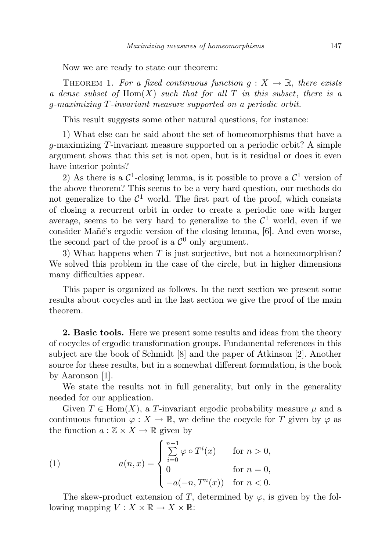Now we are ready to state our theorem:

THEOREM 1. For a fixed continuous function  $q: X \to \mathbb{R}$ , there exists a dense subset of  $Hom(X)$  such that for all T in this subset, there is a g-maximizing T-invariant measure supported on a periodic orbit.

This result suggests some other natural questions, for instance:

1) What else can be said about the set of homeomorphisms that have a g-maximizing  $T$ -invariant measure supported on a periodic orbit? A simple argument shows that this set is not open, but is it residual or does it even have interior points?

2) As there is a  $\mathcal{C}^1$ -closing lemma, is it possible to prove a  $\mathcal{C}^1$  version of the above theorem? This seems to be a very hard question, our methods do not generalize to the  $\mathcal{C}^1$  world. The first part of the proof, which consists of closing a recurrent orbit in order to create a periodic one with larger average, seems to be very hard to generalize to the  $\mathcal{C}^1$  world, even if we consider Mañé's ergodic version of the closing lemma, [6]. And even worse, the second part of the proof is a  $\mathcal{C}^0$  only argument.

3) What happens when  $T$  is just surjective, but not a homeomorphism? We solved this problem in the case of the circle, but in higher dimensions many difficulties appear.

This paper is organized as follows. In the next section we present some results about cocycles and in the last section we give the proof of the main theorem.

2. Basic tools. Here we present some results and ideas from the theory of cocycles of ergodic transformation groups. Fundamental references in this subject are the book of Schmidt [8] and the paper of Atkinson [2]. Another source for these results, but in a somewhat different formulation, is the book by Aaronson [1].

We state the results not in full generality, but only in the generality needed for our application.

Given  $T \in \text{Hom}(X)$ , a T-invariant ergodic probability measure  $\mu$  and a continuous function  $\varphi: X \to \mathbb{R}$ , we define the cocycle for T given by  $\varphi$  as the function  $a: \mathbb{Z} \times X \to \mathbb{R}$  given by

(1) 
$$
a(n,x) = \begin{cases} \sum_{i=0}^{n-1} \varphi \circ T^i(x) & \text{for } n > 0, \\ 0 & \text{for } n = 0, \\ -a(-n, T^n(x)) & \text{for } n < 0. \end{cases}
$$

The skew-product extension of T, determined by  $\varphi$ , is given by the following mapping  $V: X \times \mathbb{R} \to X \times \mathbb{R}$ :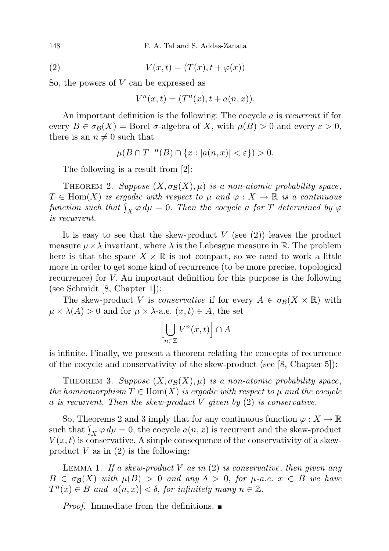148 F. A. Tal and S. Addas-Zanata

$$
(2) \tV(x,t) = (T(x), t + \varphi(x))
$$

So, the powers of V can be expressed as

$$
V^n(x,t) = (T^n(x), t + a(n,x)).
$$

An important definition is the following: The cocycle a is recurrent if for every  $B \in \sigma_{\mathcal{B}}(X) =$  Borel  $\sigma$ -algebra of X, with  $\mu(B) > 0$  and every  $\varepsilon > 0$ , there is an  $n \neq 0$  such that

$$
\mu(B \cap T^{-n}(B) \cap \{x : |a(n,x)| < \varepsilon\}) > 0.
$$

The following is a result from [2]:

THEOREM 2. Suppose  $(X, \sigma_{\mathcal{B}}(X), \mu)$  is a non-atomic probability space,  $T \in \text{Hom}(X)$  is ergodic with respect to  $\mu$  and  $\varphi: X \to \mathbb{R}$  is a continuous function such that  $\int_X \varphi \, d\mu = 0$ . Then the cocycle a for T determined by  $\varphi$ is recurrent.

It is easy to see that the skew-product  $V$  (see (2)) leaves the product measure  $\mu \times \lambda$  invariant, where  $\lambda$  is the Lebesgue measure in R. The problem here is that the space  $X \times \mathbb{R}$  is not compact, so we need to work a little more in order to get some kind of recurrence (to be more precise, topological recurrence) for V. An important definition for this purpose is the following (see Schmidt [8, Chapter 1]):

The skew-product V is *conservative* if for every  $A \in \sigma_{\mathcal{B}}(X \times \mathbb{R})$  with  $\mu \times \lambda(A) > 0$  and for  $\mu \times \lambda$ -a.e.  $(x, t) \in A$ , the set

$$
\left[\bigcup_{n\in\mathbb{Z}}V^n(x,t)\right]\cap A
$$

is infinite. Finally, we present a theorem relating the concepts of recurrence of the cocycle and conservativity of the skew-product (see [8, Chapter 5]):

THEOREM 3. Suppose  $(X, \sigma_{\mathcal{B}}(X), \mu)$  is a non-atomic probability space, the homeomorphism  $T \in \text{Hom}(X)$  is ergodic with respect to  $\mu$  and the cocycle a is recurrent. Then the skew-product V given by  $(2)$  is conservative.

So, Theorems 2 and 3 imply that for any continuous function  $\varphi: X \to \mathbb{R}$ such that  $\int_X \varphi \, d\mu = 0$ , the cocycle  $a(n, x)$  is recurrent and the skew-product  $V(x, t)$  is conservative. A simple consequence of the conservativity of a skewproduct  $V$  as in  $(2)$  is the following:

LEMMA 1. If a skew-product V as in  $(2)$  is conservative, then given any  $B \in \sigma_{\mathcal{B}}(X)$  with  $\mu(B) > 0$  and any  $\delta > 0$ , for  $\mu$ -a.e.  $x \in B$  we have  $T^n(x) \in B$  and  $|a(n,x)| < \delta$ , for infinitely many  $n \in \mathbb{Z}$ .

*Proof.* Immediate from the definitions.  $\blacksquare$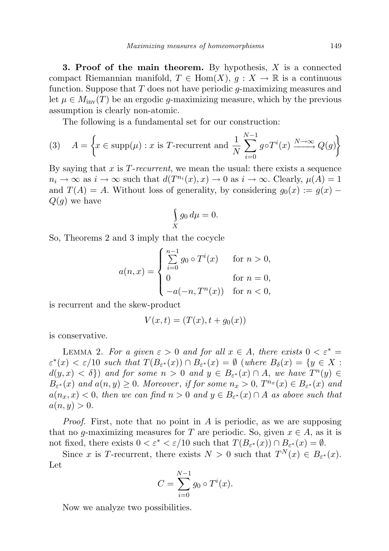**3. Proof of the main theorem.** By hypothesis,  $X$  is a connected compact Riemannian manifold,  $T \in Hom(X)$ ,  $g: X \to \mathbb{R}$  is a continuous function. Suppose that  $T$  does not have periodic  $q$ -maximizing measures and let  $\mu \in M_{\text{inv}}(T)$  be an ergodic g-maximizing measure, which by the previous assumption is clearly non-atomic.

The following is a fundamental set for our construction:

(3) 
$$
A = \left\{ x \in \text{supp}(\mu) : x \text{ is } T \text{-recurrent and } \frac{1}{N} \sum_{i=0}^{N-1} g \circ T^i(x) \xrightarrow{N \to \infty} Q(g) \right\}
$$

By saying that  $x$  is  $T$ -recurrent, we mean the usual: there exists a sequence  $n_i \to \infty$  as  $i \to \infty$  such that  $d(T^{n_i}(x), x) \to 0$  as  $i \to \infty$ . Clearly,  $\mu(A) = 1$ and  $T(A) = A$ . Without loss of generality, by considering  $g_0(x) := g(x) Q(g)$  we have

$$
\int\limits_X g_0 \, d\mu = 0.
$$

So, Theorems 2 and 3 imply that the cocycle

$$
a(n,x) = \begin{cases} \sum_{i=0}^{n-1} g_0 \circ T^i(x) & \text{for } n > 0, \\ 0 & \text{for } n = 0, \\ -a(-n, T^n(x)) & \text{for } n < 0, \end{cases}
$$

is recurrent and the skew-product

$$
V(x,t) = (T(x), t + g_0(x))
$$

is conservative.

LEMMA 2. For a given  $\varepsilon > 0$  and for all  $x \in A$ , there exists  $0 < \varepsilon^* =$  $\varepsilon^*(x) < \varepsilon/10$  such that  $T(B_{\varepsilon^*}(x)) \cap B_{\varepsilon^*}(x) = \emptyset$  (where  $B_{\delta}(x) = \{y \in X :$  $d(y, x) < \delta$ ) and for some  $n > 0$  and  $y \in B_{\varepsilon^*}(x) \cap A$ , we have  $T^n(y) \in$  $B_{\varepsilon^*}(x)$  and  $a(n, y) \geq 0$ . Moreover, if for some  $n_x > 0$ ,  $T^{n_x}(x) \in B_{\varepsilon^*}(x)$  and  $a(n_x, x) < 0$ , then we can find  $n > 0$  and  $y \in B_{\varepsilon^*}(x) \cap A$  as above such that  $a(n, y) > 0.$ 

*Proof.* First, note that no point in A is periodic, as we are supposing that no g-maximizing measures for T are periodic. So, given  $x \in A$ , as it is not fixed, there exists  $0 < \varepsilon^* < \varepsilon/10$  such that  $T(B_{\varepsilon^*}(x)) \cap B_{\varepsilon^*}(x) = \emptyset$ .

Since x is T-recurrent, there exists  $N > 0$  such that  $T^{N}(x) \in B_{\varepsilon^{*}}(x)$ . Let

$$
C = \sum_{i=0}^{N-1} g_0 \circ T^i(x).
$$

Now we analyze two possibilities.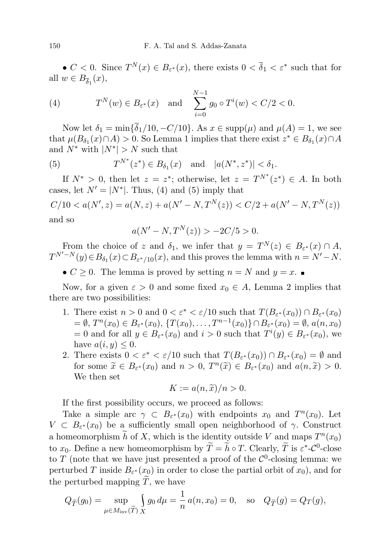•  $C < 0$ . Since  $T^{N}(x) \in B_{\varepsilon^{*}}(x)$ , there exists  $0 < \overline{\delta}_{1} < \varepsilon^{*}$  such that for all  $w \in B_{\overline{\delta}_1}(x)$ ,

(4) 
$$
T^N(w) \in B_{\varepsilon^*}(x)
$$
 and  $\sum_{i=0}^{N-1} g_0 \circ T^i(w) < C/2 < 0.$ 

Now let  $\delta_1 = \min\{\bar{\delta}_1/10, -C/10\}$ . As  $x \in \text{supp}(\mu)$  and  $\mu(A) = 1$ , we see that  $\mu(B_{\delta_1}(x) \cap A) > 0$ . So Lemma 1 implies that there exist  $z^* \in B_{\delta_1}(x) \cap A$ and  $N^*$  with  $|N^*| > N$  such that

(5) 
$$
T^{N^*}(z^*) \in B_{\delta_1}(x)
$$
 and  $|a(N^*, z^*)| < \delta_1$ .

If  $N^* > 0$ , then let  $z = z^*$ ; otherwise, let  $z = T^{N^*}(z^*) \in A$ . In both cases, let  $N' = |N^*|$ . Thus, (4) and (5) imply that

$$
C/10 < a(N', z) = a(N, z) + a(N' - N, T^N(z)) < C/2 + a(N' - N, T^N(z))
$$
\nand so

$$
a(N' - N, TN(z)) > -2C/5 > 0.
$$

From the choice of z and  $\delta_1$ , we infer that  $y = T^N(z) \in B_{\varepsilon^*}(x) \cap A$ ,  $T^{N'-N}(y) \in B_{\delta_1}(x) \subset B_{\varepsilon^*/10}(x)$ , and this proves the lemma with  $n = N'-N$ .

•  $C \geq 0$ . The lemma is proved by setting  $n = N$  and  $y = x$ .

Now, for a given  $\varepsilon > 0$  and some fixed  $x_0 \in A$ , Lemma 2 implies that there are two possibilities:

- 1. There exist  $n > 0$  and  $0 < \varepsilon^* < \varepsilon/10$  such that  $T(B_{\varepsilon^*}(x_0)) \cap B_{\varepsilon^*}(x_0)$  $= \emptyset, T^n(x_0) \in B_{\varepsilon^*}(x_0), \{T(x_0), \ldots, T^{n-1}(x_0)\} \cap B_{\varepsilon^*}(x_0) = \emptyset, a(n, x_0)$ = 0 and for all  $y \in B_{\varepsilon^*}(x_0)$  and  $i > 0$  such that  $T^i(y) \in B_{\varepsilon^*}(x_0)$ , we have  $a(i, y) \leq 0$ .
- 2. There exists  $0 < \varepsilon^* < \varepsilon/10$  such that  $T(B_{\varepsilon^*}(x_0)) \cap B_{\varepsilon^*}(x_0) = \emptyset$  and for some  $\widetilde{x} \in B_{\varepsilon^*}(x_0)$  and  $n > 0$ ,  $T^n(\widetilde{x}) \in B_{\varepsilon^*}(x_0)$  and  $a(n, \widetilde{x}) > 0$ . We then set

$$
K := a(n, \tilde{x})/n > 0.
$$

If the first possibility occurs, we proceed as follows:

Take a simple arc  $\gamma \subset B_{\varepsilon^*}(x_0)$  with endpoints  $x_0$  and  $T^n(x_0)$ . Let  $V \subset B_{\varepsilon^*}(x_0)$  be a sufficiently small open neighborhood of  $\gamma$ . Construct a homeomorphism  $\tilde{h}$  of X, which is the identity outside V and maps  $T^n(x_0)$ to  $x_0$ . Define a new homeomorphism by  $\widetilde{T} = \widetilde{h} \circ T$ . Clearly,  $\widetilde{T}$  is  $\varepsilon^*$ - $\mathcal{C}^0$ -close to T (note that we have just presented a proof of the  $\mathcal{C}^0$ -closing lemma: we perturbed T inside  $B_{\varepsilon^*}(x_0)$  in order to close the partial orbit of  $x_0$ , and for the perturbed mapping  $\widetilde{T}$ , we have

$$
Q_{\widetilde{T}}(g_0) = \sup_{\mu \in M_{\text{inv}}(\widetilde{T})} \int_{X} g_0 d\mu = \frac{1}{n} a(n, x_0) = 0, \text{ so } Q_{\widetilde{T}}(g) = Q_{T}(g),
$$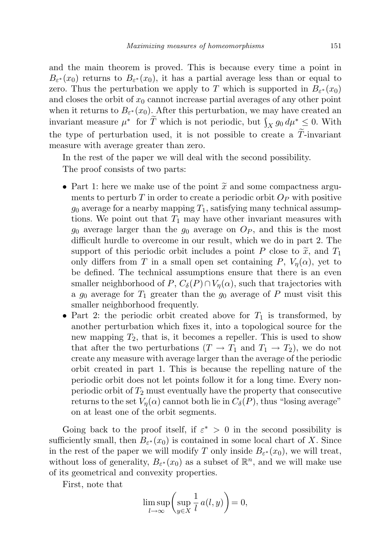and the main theorem is proved. This is because every time a point in  $B_{\varepsilon^*}(x_0)$  returns to  $B_{\varepsilon^*}(x_0)$ , it has a partial average less than or equal to zero. Thus the perturbation we apply to T which is supported in  $B_{\varepsilon^*}(x_0)$ and closes the orbit of  $x_0$  cannot increase partial averages of any other point when it returns to  $B_{\varepsilon^*}(x_0)$ . After this perturbation, we may have created an invariant measure  $\mu^*$  for  $\widetilde{T}$  which is not periodic, but  $\int_X g_0 d\mu^* \leq 0$ . With the type of perturbation used, it is not possible to create a  $\tilde{T}$ -invariant measure with average greater than zero.

In the rest of the paper we will deal with the second possibility. The proof consists of two parts:

- Part 1: here we make use of the point  $\tilde{x}$  and some compactness arguments to perturb T in order to create a periodic orbit  $O_P$  with positive  $g_0$  average for a nearby mapping  $T_1$ , satisfying many technical assumptions. We point out that  $T_1$  may have other invariant measures with  $g_0$  average larger than the  $g_0$  average on  $O_P$ , and this is the most difficult hurdle to overcome in our result, which we do in part 2. The support of this periodic orbit includes a point P close to  $\tilde{x}$ , and  $T_1$ only differs from T in a small open set containing P,  $V_n(\alpha)$ , yet to be defined. The technical assumptions ensure that there is an even smaller neighborhood of P,  $C_{\delta}(P) \cap V_n(\alpha)$ , such that trajectories with a  $g_0$  average for  $T_1$  greater than the  $g_0$  average of P must visit this smaller neighborhood frequently.
- Part 2: the periodic orbit created above for  $T_1$  is transformed, by another perturbation which fixes it, into a topological source for the new mapping  $T_2$ , that is, it becomes a repeller. This is used to show that after the two perturbations  $(T \to T_1$  and  $T_1 \to T_2)$ , we do not create any measure with average larger than the average of the periodic orbit created in part 1. This is because the repelling nature of the periodic orbit does not let points follow it for a long time. Every nonperiodic orbit of  $T_2$  must eventually have the property that consecutive returns to the set  $V_n(\alpha)$  cannot both lie in  $C_\delta(P)$ , thus "losing average" on at least one of the orbit segments.

Going back to the proof itself, if  $\varepsilon^* > 0$  in the second possibility is sufficiently small, then  $B_{\varepsilon^*}(x_0)$  is contained in some local chart of X. Since in the rest of the paper we will modify T only inside  $B_{\varepsilon^*}(x_0)$ , we will treat, without loss of generality,  $B_{\varepsilon^*}(x_0)$  as a subset of  $\mathbb{R}^n$ , and we will make use of its geometrical and convexity properties.

First, note that

$$
\limsup_{l \to \infty} \left( \sup_{y \in X} \frac{1}{l} a(l, y) \right) = 0,
$$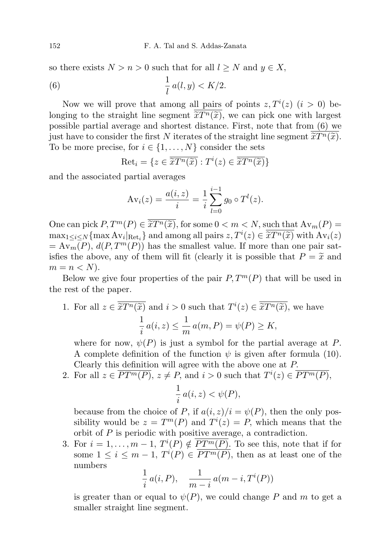so there exists  $N > n > 0$  such that for all  $l \geq N$  and  $y \in X$ ,

(6) 
$$
\frac{1}{l}a(l,y) < K/2.
$$

Now we will prove that among all pairs of points  $z, T^i(z)$   $(i > 0)$  belonging to the straight line segment  $\tilde{x}T^n(\tilde{x})$ , we can pick one with largest<br>possible partial average and shortest distance. First, note that from (6) we possible partial average and shortest distance. First, note that from (6) we just have to consider the first N iterates of the straight line segment  $\tilde{x}T^n(\tilde{x})$ .<br>To be more precise, for  $i \in I_1$ , N consider the sets To be more precise, for  $i \in \{1, ..., N\}$  consider the sets

$$
\text{Ret}_i = \{ z \in \overline{\widetilde{x}T^n(\widetilde{x})} : T^i(z) \in \overline{\widetilde{x}T^n(\widetilde{x})} \}
$$

and the associated partial averages

$$
Av_i(z) = \frac{a(i, z)}{i} = \frac{1}{i} \sum_{l=0}^{i-1} g_0 \circ T^l(z).
$$

One can pick  $P, T^m(P) \in \overline{\tilde{x}}T^n(\tilde{x})$ , for some  $0 < m < N$ , such that  $A v_m(P) =$ <br>maximum  $\Delta v_{\mu}$ , and among all pairs  $z T^i(z) \subset \overline{\tilde{x}}T^n(\tilde{x})$  with  $\Delta v(z)$  $\max_{1 \leq i \leq N} \{ \max Av_i |_{\text{Ret}_i} \}$  and among all pairs  $z, T^i(z) \in \overline{\tilde{x}T^n(\tilde{x})}$  with  $Av_i(z)$ <br>  $= Av_i(P)$   $d(P)T^m(P)$  has the smallest value. If more than one pair set  $= Av_m(P), d(P, T^m(P))$  has the smallest value. If more than one pair satisfies the above, any of them will fit (clearly it is possible that  $P = \tilde{x}$  and  $m = n < N$ .

Below we give four properties of the pair  $P, T^m(P)$  that will be used in the rest of the paper.

1. For all  $z \in \overline{\tilde{x}T^n(\tilde{x})}$  and  $i > 0$  such that  $T^i(z) \in \overline{\tilde{x}T^n(\tilde{x})}$ , we have 1  $\frac{1}{i} a(i, z) \leq \frac{1}{m}$  $\frac{1}{m} a(m, P) = \psi(P) \geq K,$ 

where for now,  $\psi(P)$  is just a symbol for the partial average at P. A complete definition of the function  $\psi$  is given after formula (10). Clearly this definition will agree with the above one at P.

2. For all  $z \in \overline{PT^m(P)}$ ,  $z \neq P$ , and  $i > 0$  such that  $T^i(z) \in \overline{PT^m(P)}$ ,

$$
\frac{1}{i} a(i, z) < \psi(P),
$$

because from the choice of P, if  $a(i, z)/i = \psi(P)$ , then the only possibility would be  $z = T^m(P)$  and  $T^i(z) = P$ , which means that the orbit of P is periodic with positive average, a contradiction.

3. For  $i = 1, \ldots, m - 1$ ,  $T^{i}(P) \notin \overline{PT^{m}(P)}$ . To see this, note that if for some  $1 \leq i \leq m-1$ ,  $T^{i}(P) \in \overline{PT^{m}(P)}$ , then as at least one of the numbers

$$
\frac{1}{i} a(i, P), \quad \frac{1}{m-i} a(m-i, T^i(P))
$$

is greater than or equal to  $\psi(P)$ , we could change P and m to get a smaller straight line segment.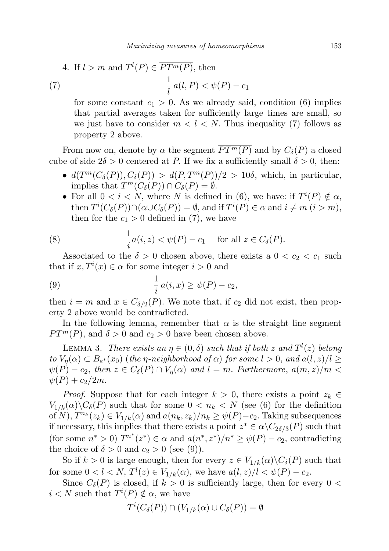4. If 
$$
l > m
$$
 and  $T^l(P) \in \overline{PT^m(P)}$ , then  
(7) 
$$
\frac{1}{l} a(l, P) < \psi(P) - c_1
$$

for some constant  $c_1 > 0$ . As we already said, condition (6) implies that partial averages taken for sufficiently large times are small, so we just have to consider  $m < l < N$ . Thus inequality (7) follows as property 2 above.

From now on, denote by  $\alpha$  the segment  $\overline{PT^m(P)}$  and by  $C_{\delta}(P)$  a closed cube of side  $2\delta > 0$  centered at P. If we fix a sufficiently small  $\delta > 0$ , then:

- $d(T^m(C_\delta(P)), C_\delta(P)) > d(P, T^m(P))/2 > 10\delta$ , which, in particular, implies that  $T^m(C_\delta(P)) \cap C_\delta(P) = \emptyset$ .
- For all  $0 < i < N$ , where N is defined in (6), we have: if  $T^{i}(P) \notin \alpha$ , then  $T^{i}(C_{\delta}(P)) \cap (\alpha \cup C_{\delta}(P)) = \emptyset$ , and if  $T^{i}(P) \in \alpha$  and  $i \neq m$   $(i > m)$ , then for the  $c_1 > 0$  defined in (7), we have

(8) 
$$
\frac{1}{i}a(i, z) < \psi(P) - c_1 \quad \text{for all } z \in C_\delta(P).
$$

Associated to the  $\delta > 0$  chosen above, there exists a  $0 < c_2 < c_1$  such that if  $x, T^i(x) \in \alpha$  for some integer  $i > 0$  and

(9) 
$$
\frac{1}{i} a(i,x) \ge \psi(P) - c_2,
$$

then  $i = m$  and  $x \in C_{\delta/2}(P)$ . We note that, if  $c_2$  did not exist, then property 2 above would be contradicted.

In the following lemma, remember that  $\alpha$  is the straight line segment  $PT<sup>m</sup>(P)$ , and  $\delta > 0$  and  $c_2 > 0$  have been chosen above.

LEMMA 3. There exists an  $\eta \in (0,\delta)$  such that if both z and  $T^l(z)$  belong to  $V_{\eta}(\alpha) \subset B_{\varepsilon^*}(x_0)$  (the  $\eta$ -neighborhood of  $\alpha$ ) for some  $l > 0$ , and  $a(l, z)/l \geq$  $\psi(P) - c_2$ , then  $z \in C_\delta(P) \cap V_n(\alpha)$  and  $l = m$ . Furthermore,  $a(m, z)/m <$  $\psi(P) + c_2/2m$ .

*Proof.* Suppose that for each integer  $k > 0$ , there exists a point  $z_k \in$  $V_{1/k}(\alpha)\backslash C_{\delta}(P)$  such that for some  $0 < n_k < N$  (see (6) for the definition of N),  $T^{n_k}(z_k) \in V_{1/k}(\alpha)$  and  $a(n_k, z_k)/n_k \geq \psi(P)-c_2$ . Taking subsequences if necessary, this implies that there exists a point  $z^* \in \alpha \setminus C_{2\delta/3}(P)$  such that (for some  $n^* > 0$ )  $T^{n^*}(z^*) \in \alpha$  and  $a(n^*, z^*)/n^* \ge \psi(P) - c_2$ , contradicting the choice of  $\delta > 0$  and  $c_2 > 0$  (see (9)).

So if  $k > 0$  is large enough, then for every  $z \in V_{1/k}(\alpha) \backslash C_{\delta}(P)$  such that for some  $0 < l < N$ ,  $T^{l}(z) \in V_{1/k}(\alpha)$ , we have  $a(l, z)/l < \psi(P) - c_2$ .

Since  $C_{\delta}(P)$  is closed, if  $k > 0$  is sufficiently large, then for every  $0 <$  $i < N$  such that  $T^{i}(P) \notin \alpha$ , we have

$$
T^i(C_\delta(P)) \cap (V_{1/k}(\alpha) \cup C_\delta(P)) = \emptyset
$$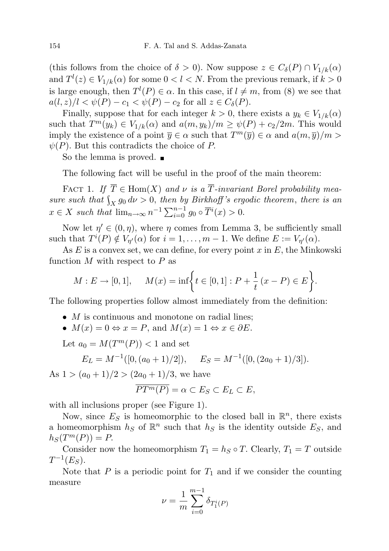(this follows from the choice of  $\delta > 0$ ). Now suppose  $z \in C_{\delta}(P) \cap V_{1/k}(\alpha)$ and  $T^l(z) \in V_{1/k}(\alpha)$  for some  $0 < l < N$ . From the previous remark, if  $k > 0$ is large enough, then  $T^{l}(P) \in \alpha$ . In this case, if  $l \neq m$ , from (8) we see that  $a(l, z)/l < \psi(P) - c_1 < \psi(P) - c_2$  for all  $z \in C_\delta(P)$ .

Finally, suppose that for each integer  $k > 0$ , there exists a  $y_k \in V_{1/k}(\alpha)$ such that  $T^m(y_k) \in V_{1/k}(\alpha)$  and  $a(m, y_k)/m \geq \psi(P) + c_2/2m$ . This would imply the existence of a point  $\overline{y} \in \alpha$  such that  $T^m(\overline{y}) \in \alpha$  and  $a(m, \overline{y})/m >$  $\psi(P)$ . But this contradicts the choice of P.

So the lemma is proved.  $\blacksquare$ 

The following fact will be useful in the proof of the main theorem:

FACT 1. If  $\overline{T} \in \text{Hom}(X)$  and  $\nu$  is a  $\overline{T}$ -invariant Borel probability measure such that  $\int_X g_0 d\nu > 0$ , then by Birkhoff's ergodic theorem, there is an X  $x \in X$  such that  $\lim_{n \to \infty} n^{-1} \sum_{i=0}^{n-1} g_0 \circ \overline{T}^i(x) > 0.$ 

Now let  $\eta' \in (0, \eta)$ , where  $\eta$  comes from Lemma 3, be sufficiently small such that  $T^{i}(P) \notin V_{\eta'}(\alpha)$  for  $i = 1, ..., m - 1$ . We define  $E := V_{\eta'}(\alpha)$ .

As  $E$  is a convex set, we can define, for every point  $x$  in  $E$ , the Minkowski function  $M$  with respect to  $P$  as

$$
M: E \to [0, 1], \quad M(x) = \inf \bigg\{ t \in [0, 1] : P + \frac{1}{t} (x - P) \in E \bigg\}.
$$

The following properties follow almost immediately from the definition:

- $M$  is continuous and monotone on radial lines;
- $M(x) = 0 \Leftrightarrow x = P$ , and  $M(x) = 1 \Leftrightarrow x \in \partial E$ .

Let  $a_0 = M(T^m(P)) < 1$  and set

$$
E_L = M^{-1}([0, (a_0 + 1)/2]), \quad E_S = M^{-1}([0, (2a_0 + 1)/3]).
$$

As  $1 > (a_0 + 1)/2 > (2a_0 + 1)/3$ , we have

$$
\overline{PT^m(P)} = \alpha \subset E_S \subset E_L \subset E,
$$

with all inclusions proper (see Figure 1).

Now, since  $E_S$  is homeomorphic to the closed ball in  $\mathbb{R}^n$ , there exists a homeomorphism  $h_S$  of  $\mathbb{R}^n$  such that  $h_S$  is the identity outside  $E_S$ , and  $h_S(T^m(P)) = P.$ 

Consider now the homeomorphism  $T_1 = h_S \circ T$ . Clearly,  $T_1 = T$  outside  $T^{-1}(E_S)$ .

Note that P is a periodic point for  $T_1$  and if we consider the counting measure

$$
\nu = \frac{1}{m} \sum_{i=0}^{m-1} \delta_{T_1^i(P)}
$$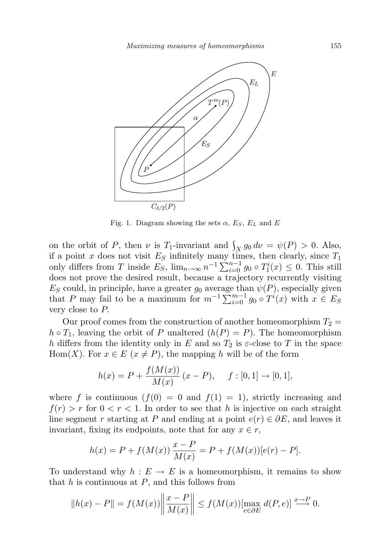

Fig. 1. Diagram showing the sets  $\alpha$ ,  $E_S$ ,  $E_L$  and E

on the orbit of P, then  $\nu$  is T<sub>1</sub>-invariant and  $\int_X g_0 d\nu = \psi(P) > 0$ . Also, if a point x does not visit  $E<sub>S</sub>$  infinitely many times, then clearly, since  $T<sub>1</sub>$ only differs from T inside  $E_S$ ,  $\lim_{n\to\infty} n^{-1} \sum_{i=0}^{n-1} g_0 \circ T_1^i(x) \leq 0$ . This still does not prove the desired result, because a trajectory recurrently visiting  $E_S$  could, in principle, have a greater  $g_0$  average than  $\psi(P)$ , especially given that P may fail to be a maximum for  $m^{-1} \sum_{i=0}^{m-1} g_0 \circ T^i(x)$  with  $x \in E_S$ very close to P.

Our proof comes from the construction of another homeomorphism  $T_2 =$  $h \circ T_1$ , leaving the orbit of P unaltered  $(h(P) = P)$ . The homeomorphism h differs from the identity only in E and so  $T_2$  is  $\varepsilon$ -close to T in the space Hom(X). For  $x \in E$  ( $x \neq P$ ), the mapping h will be of the form

$$
h(x) = P + \frac{f(M(x))}{M(x)} (x - P), \quad f: [0, 1] \to [0, 1],
$$

where f is continuous  $(f(0) = 0$  and  $f(1) = 1)$ , strictly increasing and  $f(r) > r$  for  $0 < r < 1$ . In order to see that h is injective on each straight line segment r starting at P and ending at a point  $e(r) \in \partial E$ , and leaves it invariant, fixing its endpoints, note that for any  $x \in r$ ,

$$
h(x) = P + f(M(x)) \frac{x - P}{M(x)} = P + f(M(x))[e(r) - P].
$$

To understand why  $h : E \to E$  is a homeomorphism, it remains to show that  $h$  is continuous at  $P$ , and this follows from

$$
||h(x) - P|| = f(M(x)) \left\| \frac{x - P}{M(x)} \right\| \le f(M(x)) \left[\max_{e \in \partial E} d(P, e)\right] \stackrel{x \to P}{\longrightarrow} 0.
$$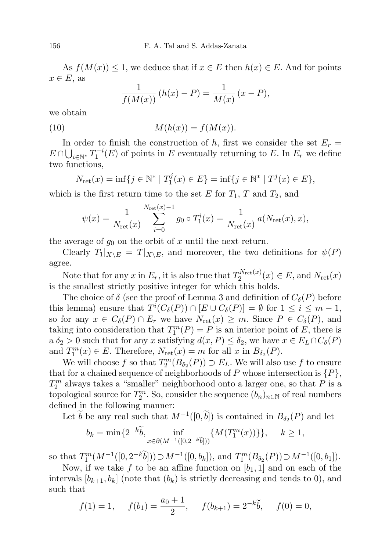As  $f(M(x)) \leq 1$ , we deduce that if  $x \in E$  then  $h(x) \in E$ . And for points  $x \in E$ , as

$$
\frac{1}{f(M(x))} (h(x) - P) = \frac{1}{M(x)} (x - P),
$$

we obtain

(10) 
$$
M(h(x)) = f(M(x)).
$$

In order to finish the construction of h, first we consider the set  $E_r =$  $E \cap \bigcup_{i \in \mathbb{N}^*} T_1^{-i}(E)$  of points in E eventually returning to E. In  $E_r$  we define two functions,

$$
N_{\rm ret}(x) = \inf\{j \in \mathbb{N}^* \mid T_1^j(x) \in E\} = \inf\{j \in \mathbb{N}^* \mid T^j(x) \in E\},\
$$

which is the first return time to the set E for  $T_1$ , T and  $T_2$ , and

$$
\psi(x) = \frac{1}{N_{\text{ret}}(x)} \sum_{i=0}^{N_{\text{ret}}(x)-1} g_0 \circ T_1^i(x) = \frac{1}{N_{\text{ret}}(x)} a(N_{\text{ret}}(x), x),
$$

the average of  $g_0$  on the orbit of x until the next return.

Clearly  $T_1|_{X\setminus E} = T|_{X\setminus E}$ , and moreover, the two definitions for  $\psi(P)$ agree.

Note that for any x in  $E_r$ , it is also true that  $T_2^{N_{\rm ret}(x)}$  $\frac{d}{2}Y_{\text{ret}}^{N_{\text{ret}}(x)}(x) \in E$ , and  $N_{\text{ret}}(x)$ is the smallest strictly positive integer for which this holds.

The choice of  $\delta$  (see the proof of Lemma 3 and definition of  $C_{\delta}(P)$  before this lemma) ensure that  $T^i(C_\delta(P)) \cap [E \cup C_\delta(P)] = \emptyset$  for  $1 \leq i \leq m-1$ , so for any  $x \in C_{\delta}(P) \cap E_r$  we have  $N_{\text{ret}}(x) \geq m$ . Since  $P \in C_{\delta}(P)$ , and taking into consideration that  $T_1^m(P) = P$  is an interior point of E, there is a  $\delta_2 > 0$  such that for any x satisfying  $d(x, P) \leq \delta_2$ , we have  $x \in E_L \cap C_{\delta}(P)$ and  $T_1^m(x) \in E$ . Therefore,  $N_{\text{ret}}(x) = m$  for all x in  $B_{\delta_2}(P)$ .

We will choose f so that  $T_2^m(B_{\delta_2}(P)) \supset E_L$ . We will also use f to ensure that for a chained sequence of neighborhoods of P whose intersection is  $\{P\}$ ,  $T_2^m$  always takes a "smaller" neighborhood onto a larger one, so that P is a topological source for  $T_2^m$ . So, consider the sequence  $(b_n)_{n\in\mathbb{N}}$  of real numbers defined in the following manner:

Let  $\tilde{b}$  be any real such that  $M^{-1}([0,\tilde{b}])$  is contained in  $B_{\delta_2}(P)$  and let

$$
b_k = \min\{2^{-k}\tilde{b}, \inf_{x \in \partial(M^{-1}([0, 2^{-k}\tilde{b}]))} \{M(T_1^m(x))\}\}, \quad k \ge 1,
$$

so that  $T_1^m(M^{-1}([0, 2^{-k}\tilde{b}])) \supset M^{-1}([0, b_k])$ , and  $T_1^m(B_{\delta_2}(P)) \supset M^{-1}([0, b_1])$ .

Now, if we take f to be an affine function on  $[b_1, 1]$  and on each of the intervals  $[b_{k+1}, b_k]$  (note that  $(b_k)$  is strictly decreasing and tends to 0), and such that

$$
f(1) = 1
$$
,  $f(b_1) = \frac{a_0 + 1}{2}$ ,  $f(b_{k+1}) = 2^{-k}\tilde{b}$ ,  $f(0) = 0$ ,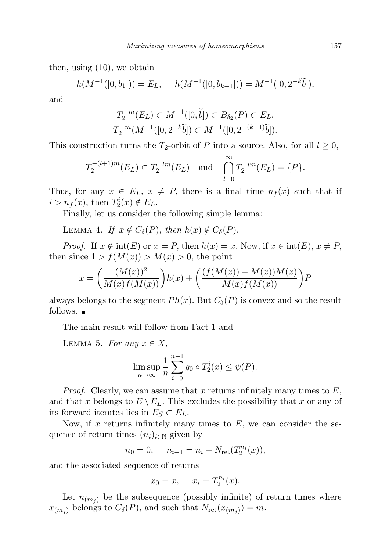then, using (10), we obtain

$$
h(M^{-1}([0, b_1])) = E_L, \quad h(M^{-1}([0, b_{k+1}])) = M^{-1}([0, 2^{-k}\tilde{b}]),
$$

and

$$
T_2^{-m}(E_L) \subset M^{-1}([0,\tilde{b}]) \subset B_{\delta_2}(P) \subset E_L,
$$
  

$$
T_2^{-m}(M^{-1}([0,2^{-k}\tilde{b}]) \subset M^{-1}([0,2^{-(k+1)}\tilde{b}]).
$$

This construction turns the  $T_2$ -orbit of P into a source. Also, for all  $l \geq 0$ ,

$$
T_2^{-(l+1)m}(E_L) \subset T_2^{-lm}(E_L)
$$
 and  $\bigcap_{l=0}^{\infty} T_2^{-lm}(E_L) = \{P\}.$ 

Thus, for any  $x \in E_L$ ,  $x \neq P$ , there is a final time  $n_f(x)$  such that if  $i > n<sub>f</sub>(x)$ , then  $T_2^i(x) \notin E_L$ .

Finally, let us consider the following simple lemma:

LEMMA 4. If  $x \notin C_{\delta}(P)$ , then  $h(x) \notin C_{\delta}(P)$ .

*Proof.* If  $x \notin \text{int}(E)$  or  $x = P$ , then  $h(x) = x$ . Now, if  $x \in \text{int}(E)$ ,  $x \neq P$ , then since  $1 > f(M(x)) > M(x) > 0$ , the point

$$
x = \left(\frac{(M(x))^{2}}{M(x)f(M(x))}\right)h(x) + \left(\frac{(f(M(x)) - M(x))M(x)}{M(x)f(M(x))}\right)P
$$

always belongs to the segment  $\overline{Ph(x)}$ . But  $C_{\delta}(P)$  is convex and so the result follows.  $\blacksquare$ 

The main result will follow from Fact 1 and

LEMMA 5. For any  $x \in X$ ,

$$
\limsup_{n \to \infty} \frac{1}{n} \sum_{i=0}^{n-1} g_0 \circ T_2^i(x) \le \psi(P).
$$

*Proof.* Clearly, we can assume that x returns infinitely many times to  $E$ , and that x belongs to  $E \setminus E_L$ . This excludes the possibility that x or any of its forward iterates lies in  $E_S \subset E_L$ .

Now, if x returns infinitely many times to  $E$ , we can consider the sequence of return times  $(n_i)_{i\in\mathbb{N}}$  given by

$$
n_0 = 0, \quad n_{i+1} = n_i + N_{\rm ret}(T_2^{n_i}(x)),
$$

and the associated sequence of returns

$$
x_0 = x, \quad x_i = T_2^{n_i}(x).
$$

Let  $n_{(m_j)}$  be the subsequence (possibly infinite) of return times where  $x_{(m_j)}$  belongs to  $C_\delta(P)$ , and such that  $N_{\rm ret}(x_{(m_j)}) = m$ .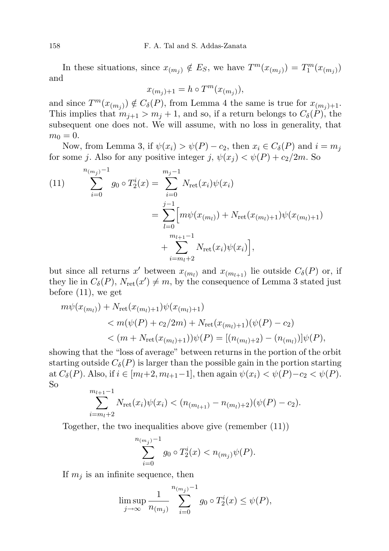In these situations, since  $x_{(m_j)} \notin E_S$ , we have  $T^m(x_{(m_j)}) = T_1^m(x_{(m_j)})$ and

$$
x_{(m_j)+1} = h \circ T^m(x_{(m_j)}),
$$

and since  $T^m(x_{(m_j)}) \notin C_\delta(P)$ , from Lemma 4 the same is true for  $x_{(m_j)+1}$ . This implies that  $m_{j+1} > m_j + 1$ , and so, if a return belongs to  $C_{\delta}(P)$ , the subsequent one does not. We will assume, with no loss in generality, that  $m_0 = 0.$ 

Now, from Lemma 3, if  $\psi(x_i) > \psi(P) - c_2$ , then  $x_i \in C_\delta(P)$  and  $i = m_j$ for some j. Also for any positive integer j,  $\psi(x_i) < \psi(P) + c_2/2m$ . So

(11) 
$$
\sum_{i=0}^{n_{(m_j)}-1} g_0 \circ T_2^i(x) = \sum_{i=0}^{m_j-1} N_{\text{ret}}(x_i) \psi(x_i)
$$

$$
= \sum_{l=0}^{j-1} \Big[ m \psi(x_{(m_l)}) + N_{\text{ret}}(x_{(m_l)+1}) \psi(x_{(m_l)+1}) + \sum_{i=m_l+2}^{m_{l+1}-1} N_{\text{ret}}(x_i) \psi(x_i) \Big],
$$

but since all returns x' between  $x_{(m_l)}$  and  $x_{(m_{l+1})}$  lie outside  $C_{\delta}(P)$  or, if they lie in  $C_{\delta}(P)$ ,  $N_{\text{ret}}(x') \neq m$ , by the consequence of Lemma 3 stated just before (11), we get

$$
m\psi(x_{(m_l)}) + N_{\text{ret}}(x_{(m_l)+1})\psi(x_{(m_l)+1})
$$
  

$$
< m(\psi(P) + c_2/2m) + N_{\text{ret}}(x_{(m_l)+1})(\psi(P) - c_2)
$$
  

$$
< (m + N_{\text{ret}}(x_{(m_l)+1}))\psi(P) = [(n_{(m_l)+2}) - (n_{(m_l)})]\psi(P),
$$

showing that the "loss of average" between returns in the portion of the orbit starting outside  $C_{\delta}(P)$  is larger than the possible gain in the portion starting at  $C_{\delta}(P)$ . Also, if  $i \in [m_l+2, m_{l+1}-1]$ , then again  $\psi(x_i) < \psi(P) - c_2 < \psi(P)$ . So

$$
\sum_{i=m_l+2}^{m_{l+1}-1} N_{\rm ret}(x_i)\psi(x_i) < (n_{(m_{l+1})}-n_{(m_l)+2})(\psi(P)-c_2).
$$

Together, the two inequalities above give (remember (11))

$$
\sum_{i=0}^{n_{(m_j)}-1} g_0 \circ T_2^i(x) < n_{(m_j)} \psi(P).
$$

If  $m_i$  is an infinite sequence, then

$$
\limsup_{j \to \infty} \frac{1}{n_{(m_j)}} \sum_{i=0}^{n_{(m_j)}-1} g_0 \circ T_2^i(x) \le \psi(P),
$$